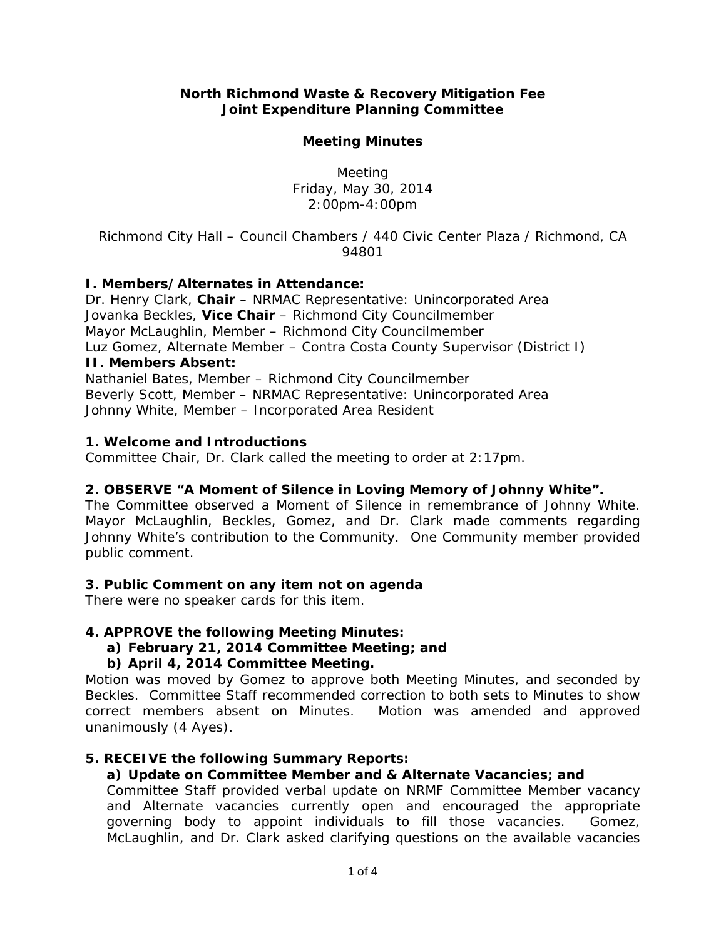## **North Richmond Waste & Recovery Mitigation Fee Joint Expenditure Planning Committee**

### **Meeting Minutes**

Meeting Friday, May 30, 2014 2:00pm-4:00pm

*Richmond City Hall – Council Chambers / 440 Civic Center Plaza / Richmond, CA 94801* 

## **I. Members/Alternates in Attendance:**

Dr. Henry Clark, **Chair** – NRMAC Representative: Unincorporated Area Jovanka Beckles, **Vice Chair** – Richmond City Councilmember Mayor McLaughlin, Member – Richmond City Councilmember Luz Gomez, Alternate Member – Contra Costa County Supervisor (District I) **II. Members Absent:**  Nathaniel Bates, Member – Richmond City Councilmember Beverly Scott, Member – NRMAC Representative: Unincorporated Area

Johnny White, Member – Incorporated Area Resident

### **1. Welcome and Introductions**

*Committee Chair, Dr. Clark called the meeting to order at 2:17pm.* 

### **2. OBSERVE "A Moment of Silence in Loving Memory of Johnny White".**

*The Committee observed a Moment of Silence in remembrance of Johnny White. Mayor McLaughlin, Beckles, Gomez, and Dr. Clark made comments regarding Johnny White's contribution to the Community. One Community member provided public comment.* 

### **3. Public Comment on any item not on agenda**

*There were no speaker cards for this item.* 

### **4. APPROVE the following Meeting Minutes:**

**a) February 21, 2014 Committee Meeting; and** 

## **b) April 4, 2014 Committee Meeting.**

*Motion was moved by Gomez to approve both Meeting Minutes, and seconded by Beckles. Committee Staff recommended correction to both sets to Minutes to show correct members absent on Minutes. Motion was amended and approved unanimously (4 Ayes).* 

### **5. RECEIVE the following Summary Reports:**

# **a) Update on Committee Member and & Alternate Vacancies; and**

*Committee Staff provided verbal update on NRMF Committee Member vacancy and Alternate vacancies currently open and encouraged the appropriate governing body to appoint individuals to fill those vacancies. Gomez, McLaughlin, and Dr. Clark asked clarifying questions on the available vacancies*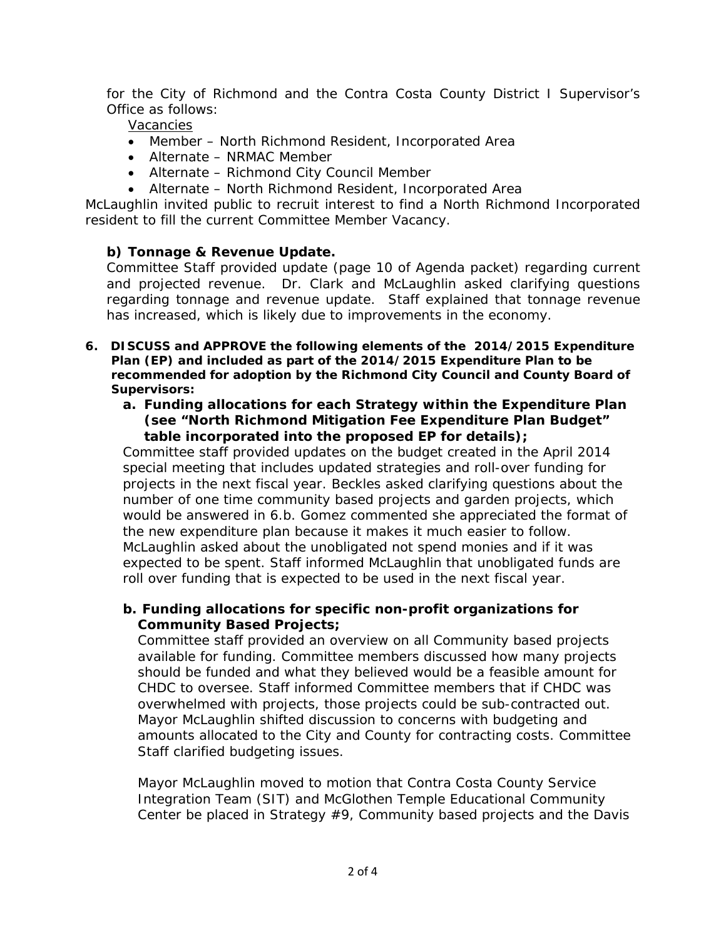*for the City of Richmond and the Contra Costa County District I Supervisor's Office as follows:* 

*Vacancies* 

- *Member North Richmond Resident, Incorporated Area*
- *Alternate NRMAC Member*
- *Alternate Richmond City Council Member*
- *Alternate North Richmond Resident, Incorporated Area*

*McLaughlin invited public to recruit interest to find a North Richmond Incorporated resident to fill the current Committee Member Vacancy.* 

# **b) Tonnage & Revenue Update.**

*Committee Staff provided update (page 10 of Agenda packet) regarding current and projected revenue. Dr. Clark and McLaughlin asked clarifying questions regarding tonnage and revenue update. Staff explained that tonnage revenue has increased, which is likely due to improvements in the economy.* 

- **6.** *DISCUSS* **and** *APPROVE* **the following elements of the 2014/2015 Expenditure Plan (EP) and included as part of the 2014/2015 Expenditure Plan to be recommended for adoption by the Richmond City Council and County Board of Supervisors:** 
	- **a. Funding allocations for each Strategy within the Expenditure Plan (see "North Richmond Mitigation Fee Expenditure Plan Budget" table incorporated into the proposed EP for details);**

*Committee staff provided updates on the budget created in the April 2014 special meeting that includes updated strategies and roll-over funding for projects in the next fiscal year. Beckles asked clarifying questions about the number of one time community based projects and garden projects, which would be answered in 6.b. Gomez commented she appreciated the format of the new expenditure plan because it makes it much easier to follow. McLaughlin asked about the unobligated not spend monies and if it was expected to be spent. Staff informed McLaughlin that unobligated funds are roll over funding that is expected to be used in the next fiscal year.* 

## **b. Funding allocations for specific non-profit organizations for Community Based Projects;**

*Committee staff provided an overview on all Community based projects available for funding. Committee members discussed how many projects should be funded and what they believed would be a feasible amount for CHDC to oversee. Staff informed Committee members that if CHDC was overwhelmed with projects, those projects could be sub-contracted out. Mayor McLaughlin shifted discussion to concerns with budgeting and amounts allocated to the City and County for contracting costs. Committee Staff clarified budgeting issues.* 

*Mayor McLaughlin moved to motion that Contra Costa County Service Integration Team (SIT) and McGlothen Temple Educational Community Center be placed in Strategy #9, Community based projects and the Davis*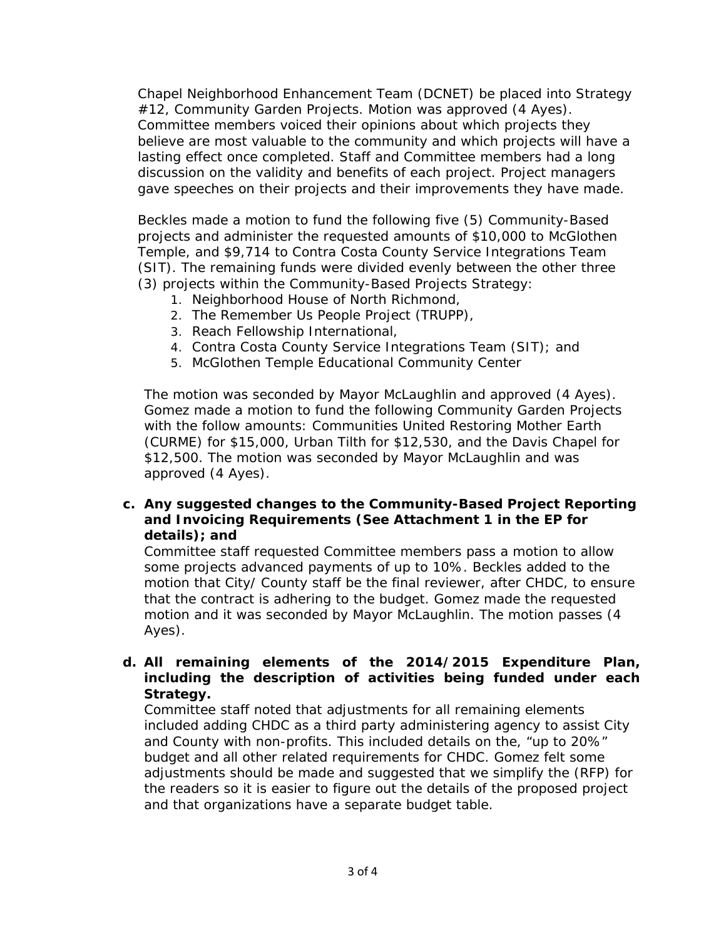*Chapel Neighborhood Enhancement Team (DCNET) be placed into Strategy #12, Community Garden Projects. Motion was approved (4 Ayes). Committee members voiced their opinions about which projects they believe are most valuable to the community and which projects will have a lasting effect once completed. Staff and Committee members had a long discussion on the validity and benefits of each project. Project managers gave speeches on their projects and their improvements they have made.* 

*Beckles made a motion to fund the following five (5) Community-Based projects and administer the requested amounts of \$10,000 to McGlothen Temple, and \$9,714 to Contra Costa County Service Integrations Team (SIT). The remaining funds were divided evenly between the other three (3) projects within the Community-Based Projects Strategy:* 

- *1. Neighborhood House of North Richmond,*
- *2. The Remember Us People Project (TRUPP),*
- *3. Reach Fellowship International,*
- *4. Contra Costa County Service Integrations Team (SIT); and*
- *5. McGlothen Temple Educational Community Center*

*The motion was seconded by Mayor McLaughlin and approved (4 Ayes). Gomez made a motion to fund the following Community Garden Projects with the follow amounts: Communities United Restoring Mother Earth (CURME) for \$15,000, Urban Tilth for \$12,530, and the Davis Chapel for \$12,500. The motion was seconded by Mayor McLaughlin and was approved (4 Ayes).* 

#### **c. Any suggested changes to the Community-Based Project Reporting and Invoicing Requirements (See Attachment 1 in the EP for details); and**

*Committee staff requested Committee members pass a motion to allow some projects advanced payments of up to 10%. Beckles added to the motion that City/ County staff be the final reviewer, after CHDC, to ensure that the contract is adhering to the budget. Gomez made the requested motion and it was seconded by Mayor McLaughlin. The motion passes (4 Ayes).* 

## **d. All remaining elements of the 2014/2015 Expenditure Plan, including the description of activities being funded under each Strategy.**

*Committee staff noted that adjustments for all remaining elements included adding CHDC as a third party administering agency to assist City and County with non-profits. This included details on the, "up to 20%" budget and all other related requirements for CHDC. Gomez felt some adjustments should be made and suggested that we simplify the (RFP) for the readers so it is easier to figure out the details of the proposed project and that organizations have a separate budget table.*